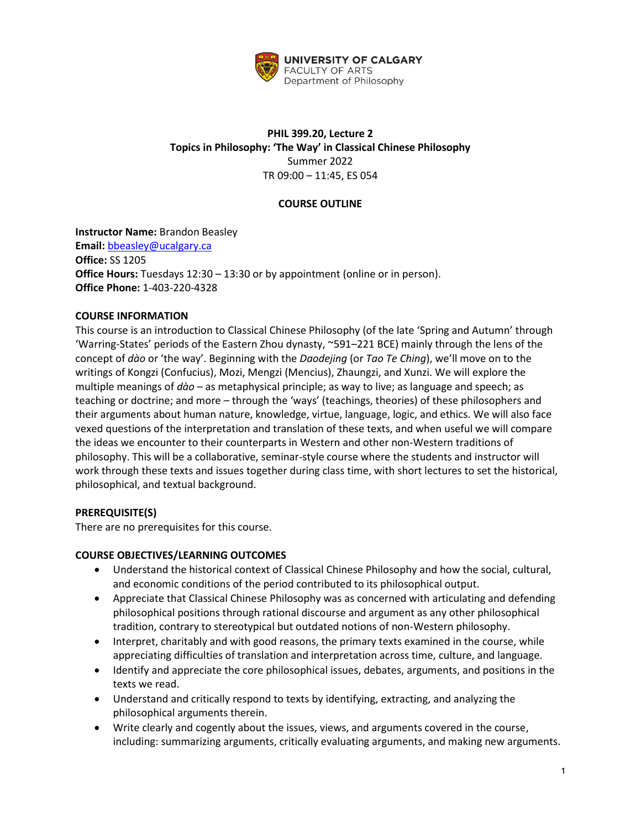

# **PHIL 399.20, Lecture 2 Topics in Philosophy: 'The Way' in Classical Chinese Philosophy** Summer 2022 TR 09:00 – 11:45, ES 054

# **COURSE OUTLINE**

# **Instructor Name:** Brandon Beasley

**Email:** [bbeasley@ucalgary.ca](mailto:bbeasley@ucalgary.ca) **Office:** SS 1205 **Office Hours:** Tuesdays 12:30 – 13:30 or by appointment (online or in person). **Office Phone:** 1-403-220-4328

### **COURSE INFORMATION**

This course is an introduction to Classical Chinese Philosophy (of the late 'Spring and Autumn' through 'Warring-States' periods of the Eastern Zhou dynasty, ~591–221 BCE) mainly through the lens of the concept of *dào* or 'the way'. Beginning with the *Daodejing* (or *Tao Te Ching*), we'll move on to the writings of Kongzi (Confucius), Mozi, Mengzi (Mencius), Zhaungzi, and Xunzi. We will explore the multiple meanings of *dào* – as metaphysical principle; as way to live; as language and speech; as teaching or doctrine; and more – through the 'ways' (teachings, theories) of these philosophers and their arguments about human nature, knowledge, virtue, language, logic, and ethics. We will also face vexed questions of the interpretation and translation of these texts, and when useful we will compare the ideas we encounter to their counterparts in Western and other non-Western traditions of philosophy. This will be a collaborative, seminar-style course where the students and instructor will work through these texts and issues together during class time, with short lectures to set the historical, philosophical, and textual background.

# **PREREQUISITE(S)**

There are no prerequisites for this course.

### **COURSE OBJECTIVES/LEARNING OUTCOMES**

- Understand the historical context of Classical Chinese Philosophy and how the social, cultural, and economic conditions of the period contributed to its philosophical output.
- Appreciate that Classical Chinese Philosophy was as concerned with articulating and defending philosophical positions through rational discourse and argument as any other philosophical tradition, contrary to stereotypical but outdated notions of non-Western philosophy.
- Interpret, charitably and with good reasons, the primary texts examined in the course, while appreciating difficulties of translation and interpretation across time, culture, and language.
- Identify and appreciate the core philosophical issues, debates, arguments, and positions in the texts we read.
- Understand and critically respond to texts by identifying, extracting, and analyzing the philosophical arguments therein.
- Write clearly and cogently about the issues, views, and arguments covered in the course, including: summarizing arguments, critically evaluating arguments, and making new arguments.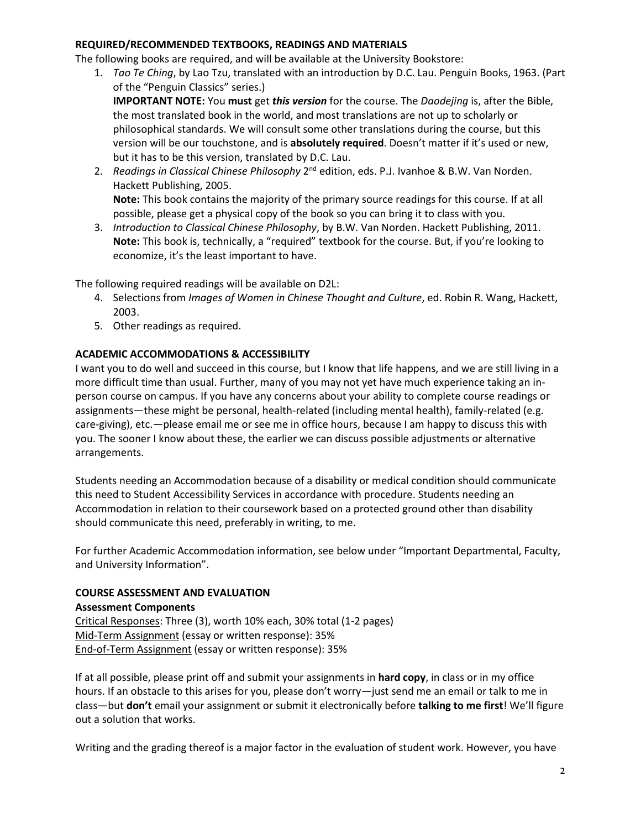### **REQUIRED/RECOMMENDED TEXTBOOKS, READINGS AND MATERIALS**

The following books are required, and will be available at the University Bookstore:

- 1. *Tao Te Ching*, by Lao Tzu, translated with an introduction by D.C. Lau. Penguin Books, 1963. (Part of the "Penguin Classics" series.) **IMPORTANT NOTE:** You **must** get *this version* for the course. The *Daodejing* is, after the Bible, the most translated book in the world, and most translations are not up to scholarly or philosophical standards. We will consult some other translations during the course, but this version will be our touchstone, and is **absolutely required**. Doesn't matter if it's used or new, but it has to be this version, translated by D.C. Lau.
- 2. Readings in Classical Chinese Philosophy 2<sup>nd</sup> edition, eds. P.J. Ivanhoe & B.W. Van Norden. Hackett Publishing, 2005. **Note:** This book contains the majority of the primary source readings for this course. If at all possible, please get a physical copy of the book so you can bring it to class with you.
- 3. *Introduction to Classical Chinese Philosophy*, by B.W. Van Norden. Hackett Publishing, 2011. **Note:** This book is, technically, a "required" textbook for the course. But, if you're looking to economize, it's the least important to have.

The following required readings will be available on D2L:

- 4. Selections from *Images of Women in Chinese Thought and Culture*, ed. Robin R. Wang, Hackett, 2003.
- 5. Other readings as required.

#### **ACADEMIC ACCOMMODATIONS & ACCESSIBILITY**

I want you to do well and succeed in this course, but I know that life happens, and we are still living in a more difficult time than usual. Further, many of you may not yet have much experience taking an inperson course on campus. If you have any concerns about your ability to complete course readings or assignments—these might be personal, health-related (including mental health), family-related (e.g. care-giving), etc.—please email me or see me in office hours, because I am happy to discuss this with you. The sooner I know about these, the earlier we can discuss possible adjustments or alternative arrangements.

Students needing an Accommodation because of a disability or medical condition should communicate this need to Student Accessibility Services in accordance with procedure. Students needing an Accommodation in relation to their coursework based on a protected ground other than disability should communicate this need, preferably in writing, to me.

For further Academic Accommodation information, see below under "Important Departmental, Faculty, and University Information".

#### **COURSE ASSESSMENT AND EVALUATION**

#### **Assessment Components**

Critical Responses: Three (3), worth 10% each, 30% total (1-2 pages) Mid-Term Assignment (essay or written response): 35% End-of-Term Assignment (essay or written response): 35%

If at all possible, please print off and submit your assignments in **hard copy**, in class or in my office hours. If an obstacle to this arises for you, please don't worry—just send me an email or talk to me in class—but **don't** email your assignment or submit it electronically before **talking to me first**! We'll figure out a solution that works.

Writing and the grading thereof is a major factor in the evaluation of student work. However, you have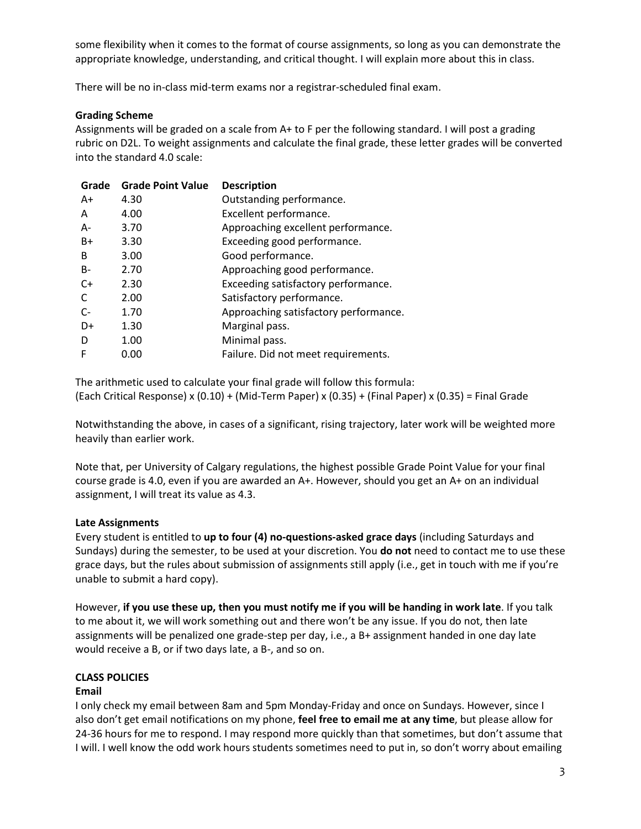some flexibility when it comes to the format of course assignments, so long as you can demonstrate the appropriate knowledge, understanding, and critical thought. I will explain more about this in class.

There will be no in-class mid-term exams nor a registrar-scheduled final exam.

# **Grading Scheme**

Assignments will be graded on a scale from A+ to F per the following standard. I will post a grading rubric on D2L. To weight assignments and calculate the final grade, these letter grades will be converted into the standard 4.0 scale:

| Grade | <b>Grade Point Value</b> | <b>Description</b>                    |
|-------|--------------------------|---------------------------------------|
| A+    | 4.30                     | Outstanding performance.              |
| A     | 4.00                     | Excellent performance.                |
| A-    | 3.70                     | Approaching excellent performance.    |
| $B+$  | 3.30                     | Exceeding good performance.           |
| B     | 3.00                     | Good performance.                     |
| $B -$ | 2.70                     | Approaching good performance.         |
| $C+$  | 2.30                     | Exceeding satisfactory performance.   |
| C     | 2.00                     | Satisfactory performance.             |
| $C-$  | 1.70                     | Approaching satisfactory performance. |
| D+    | 1.30                     | Marginal pass.                        |
| D     | 1.00                     | Minimal pass.                         |
| F     | 0.00                     | Failure. Did not meet requirements.   |
|       |                          |                                       |

The arithmetic used to calculate your final grade will follow this formula: (Each Critical Response) x (0.10) + (Mid-Term Paper) x (0.35) + (Final Paper) x (0.35) = Final Grade

Notwithstanding the above, in cases of a significant, rising trajectory, later work will be weighted more heavily than earlier work.

Note that, per University of Calgary regulations, the highest possible Grade Point Value for your final course grade is 4.0, even if you are awarded an A+. However, should you get an A+ on an individual assignment, I will treat its value as 4.3.

### **Late Assignments**

Every student is entitled to **up to four (4) no-questions-asked grace days** (including Saturdays and Sundays) during the semester, to be used at your discretion. You **do not** need to contact me to use these grace days, but the rules about submission of assignments still apply (i.e., get in touch with me if you're unable to submit a hard copy).

However, **if you use these up, then you must notify me if you will be handing in work late**. If you talk to me about it, we will work something out and there won't be any issue. If you do not, then late assignments will be penalized one grade-step per day, i.e., a B+ assignment handed in one day late would receive a B, or if two days late, a B-, and so on.

# **CLASS POLICIES**

### **Email**

I only check my email between 8am and 5pm Monday-Friday and once on Sundays. However, since I also don't get email notifications on my phone, **feel free to email me at any time**, but please allow for 24-36 hours for me to respond. I may respond more quickly than that sometimes, but don't assume that I will. I well know the odd work hours students sometimes need to put in, so don't worry about emailing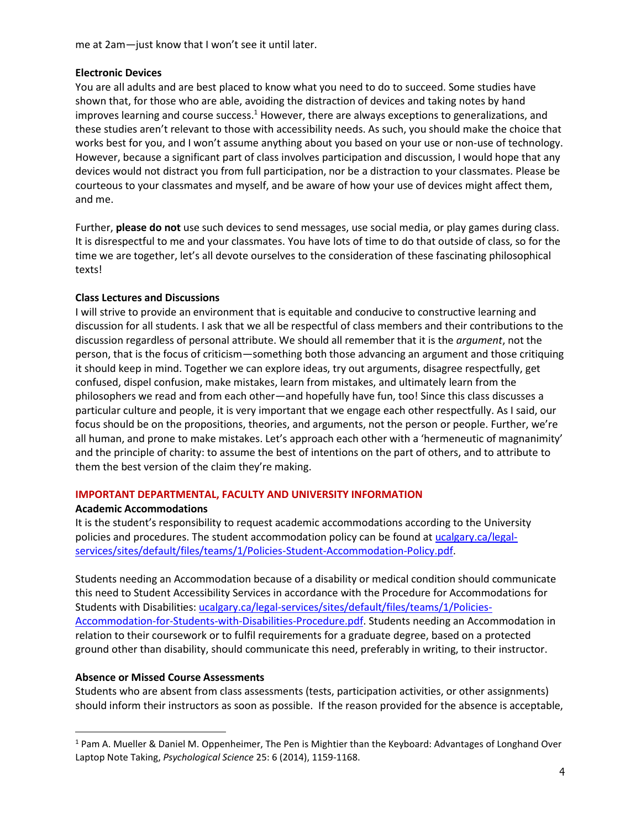me at 2am—just know that I won't see it until later.

### **Electronic Devices**

You are all adults and are best placed to know what you need to do to succeed. Some studies have shown that, for those who are able, avoiding the distraction of devices and taking notes by hand improves learning and course success.<sup>1</sup> However, there are always exceptions to generalizations, and these studies aren't relevant to those with accessibility needs. As such, you should make the choice that works best for you, and I won't assume anything about you based on your use or non-use of technology. However, because a significant part of class involves participation and discussion, I would hope that any devices would not distract you from full participation, nor be a distraction to your classmates. Please be courteous to your classmates and myself, and be aware of how your use of devices might affect them, and me.

Further, **please do not** use such devices to send messages, use social media, or play games during class. It is disrespectful to me and your classmates. You have lots of time to do that outside of class, so for the time we are together, let's all devote ourselves to the consideration of these fascinating philosophical texts!

### **Class Lectures and Discussions**

I will strive to provide an environment that is equitable and conducive to constructive learning and discussion for all students. I ask that we all be respectful of class members and their contributions to the discussion regardless of personal attribute. We should all remember that it is the *argument*, not the person, that is the focus of criticism—something both those advancing an argument and those critiquing it should keep in mind. Together we can explore ideas, try out arguments, disagree respectfully, get confused, dispel confusion, make mistakes, learn from mistakes, and ultimately learn from the philosophers we read and from each other—and hopefully have fun, too! Since this class discusses a particular culture and people, it is very important that we engage each other respectfully. As I said, our focus should be on the propositions, theories, and arguments, not the person or people. Further, we're all human, and prone to make mistakes. Let's approach each other with a 'hermeneutic of magnanimity' and the principle of charity: to assume the best of intentions on the part of others, and to attribute to them the best version of the claim they're making.

### **IMPORTANT DEPARTMENTAL, FACULTY AND UNIVERSITY INFORMATION**

### **Academic Accommodations**

It is the student's responsibility to request academic accommodations according to the University policies and procedures. The student accommodation policy can be found a[t ucalgary.ca/legal](http://www.ucalgary.ca/legal-services/sites/default/files/teams/1/Policies-Student-Accommodation-Policy.pdf)[services/sites/default/files/teams/1/Policies-Student-Accommodation-Policy.pdf.](http://www.ucalgary.ca/legal-services/sites/default/files/teams/1/Policies-Student-Accommodation-Policy.pdf)

Students needing an Accommodation because of a disability or medical condition should communicate this need to Student Accessibility Services in accordance with the Procedure for Accommodations for Students with Disabilities: [ucalgary.ca/legal-services/sites/default/files/teams/1/Policies-](https://www.ucalgary.ca/legal-services/sites/default/files/teams/1/Policies-Accommodation-for-Students-with-Disabilities-Procedure.pdf)[Accommodation-for-Students-with-Disabilities-Procedure.pdf.](https://www.ucalgary.ca/legal-services/sites/default/files/teams/1/Policies-Accommodation-for-Students-with-Disabilities-Procedure.pdf) Students needing an Accommodation in relation to their coursework or to fulfil requirements for a graduate degree, based on a protected ground other than disability, should communicate this need, preferably in writing, to their instructor.

### **Absence or Missed Course Assessments**

Students who are absent from class assessments (tests, participation activities, or other assignments) should inform their instructors as soon as possible. If the reason provided for the absence is acceptable,

<sup>1</sup> Pam A. Mueller & Daniel M. Oppenheimer, The Pen is Mightier than the Keyboard: Advantages of Longhand Over Laptop Note Taking, *Psychological Science* 25: 6 (2014), 1159-1168.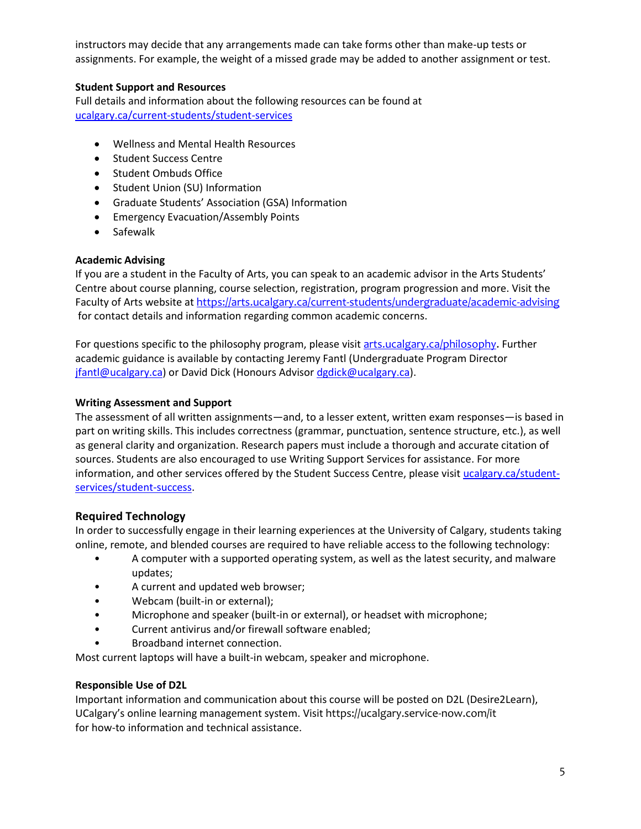instructors may decide that any arrangements made can take forms other than make-up tests or assignments. For example, the weight of a missed grade may be added to another assignment or test.

# **Student Support and Resources**

Full details and information about the following resources can be found a[t](https://www.ucalgary.ca/current-students/student-services)  [ucalgary.ca/current-students/student-services](https://www.ucalgary.ca/current-students/student-services)

- Wellness and Mental Health Resources
- Student Success Centre
- Student Ombuds Office
- Student Union (SU) Information
- Graduate Students' Association (GSA) Information
- Emergency Evacuation/Assembly Points
- Safewalk

### **Academic Advising**

If you are a student in the Faculty of Arts, you can speak to an academic advisor in the Arts Students' Centre about course planning, course selection, registration, program progression and more. Visit the Faculty of Arts website at <https://arts.ucalgary.ca/current-students/undergraduate/academic-advising> for contact details and information regarding common academic concerns.

For questions specific to the philosophy program, please visit [arts.ucalgary.ca/philosophy.](file:///C:/Users/btclarke/AppData/Local/Microsoft/Windows/INetCache/Content.Outlook/Q3DSKIFK/arts.ucalgary.ca/philosophy) Further academic guidance is available by contacting Jeremy Fantl (Undergraduate Program Director [jfantl@ucalgary.ca\)](mailto:jfantl@ucalgary.ca) or David Dick (Honours Adviso[r dgdick@ucalgary.ca\)](mailto:dgdick@ucalgary.ca).

### **Writing Assessment and Support**

The assessment of all written assignments—and, to a lesser extent, written exam responses—is based in part on writing skills. This includes correctness (grammar, punctuation, sentence structure, etc.), as well as general clarity and organization. Research papers must include a thorough and accurate citation of sources. Students are also encouraged to use Writing Support Services for assistance. For more information, and other services offered by the Student Success Centre, please visit [ucalgary.ca/student](https://ucalgary.ca/student-services/student-success)[services/student-success.](https://ucalgary.ca/student-services/student-success)

### **Required Technology**

In order to successfully engage in their learning experiences at the University of Calgary, students taking online, remote, and blended courses are required to have reliable access to the following technology:

- A computer with a supported operating system, as well as the latest security, and malware updates;
- A current and updated web browser;
- Webcam (built-in or external);
- Microphone and speaker (built-in or external), or headset with microphone;
- Current antivirus and/or firewall software enabled;
- Broadband internet connection.

Most current laptops will have a built-in webcam, speaker and microphone.

### **Responsible Use of D2L**

Important information and communication about this course will be posted on D2L (Desire2Learn), UCalgary's online learning management system. Visit https://ucalgary.service-now.com/it for how-to information and technical assistance.